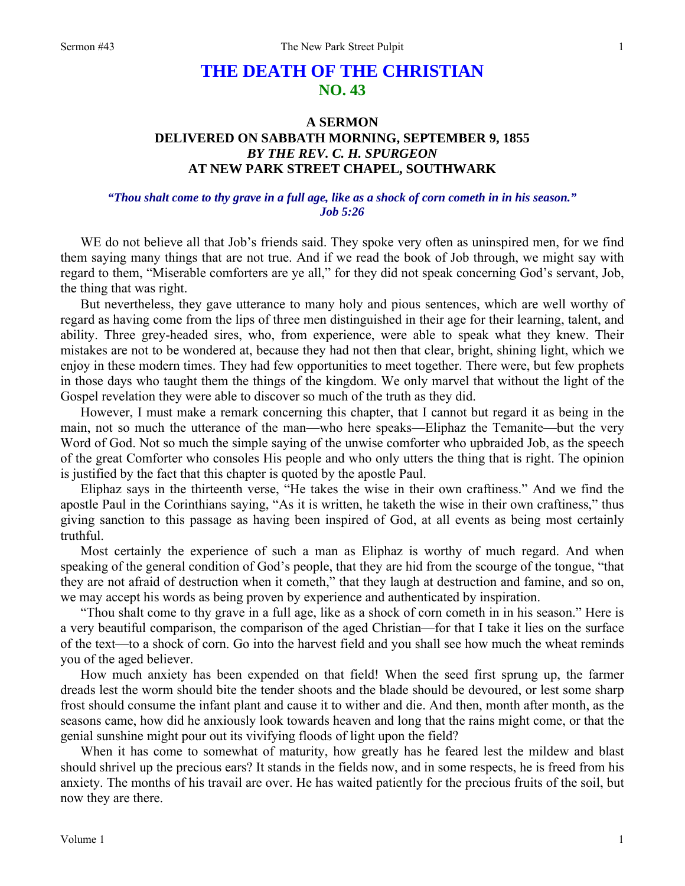## **THE DEATH OF THE CHRISTIAN NO. 43**

## **A SERMON DELIVERED ON SABBATH MORNING, SEPTEMBER 9, 1855**  *BY THE REV. C. H. SPURGEON*  **AT NEW PARK STREET CHAPEL, SOUTHWARK**

## *"Thou shalt come to thy grave in a full age, like as a shock of corn cometh in in his season." Job 5:26*

WE do not believe all that Job's friends said. They spoke very often as uninspired men, for we find them saying many things that are not true. And if we read the book of Job through, we might say with regard to them, "Miserable comforters are ye all," for they did not speak concerning God's servant, Job, the thing that was right.

But nevertheless, they gave utterance to many holy and pious sentences, which are well worthy of regard as having come from the lips of three men distinguished in their age for their learning, talent, and ability. Three grey-headed sires, who, from experience, were able to speak what they knew. Their mistakes are not to be wondered at, because they had not then that clear, bright, shining light, which we enjoy in these modern times. They had few opportunities to meet together. There were, but few prophets in those days who taught them the things of the kingdom. We only marvel that without the light of the Gospel revelation they were able to discover so much of the truth as they did.

However, I must make a remark concerning this chapter, that I cannot but regard it as being in the main, not so much the utterance of the man—who here speaks—Eliphaz the Temanite—but the very Word of God. Not so much the simple saying of the unwise comforter who upbraided Job, as the speech of the great Comforter who consoles His people and who only utters the thing that is right. The opinion is justified by the fact that this chapter is quoted by the apostle Paul.

Eliphaz says in the thirteenth verse, "He takes the wise in their own craftiness." And we find the apostle Paul in the Corinthians saying, "As it is written, he taketh the wise in their own craftiness," thus giving sanction to this passage as having been inspired of God, at all events as being most certainly truthful.

Most certainly the experience of such a man as Eliphaz is worthy of much regard. And when speaking of the general condition of God's people, that they are hid from the scourge of the tongue, "that they are not afraid of destruction when it cometh," that they laugh at destruction and famine, and so on, we may accept his words as being proven by experience and authenticated by inspiration.

"Thou shalt come to thy grave in a full age, like as a shock of corn cometh in in his season." Here is a very beautiful comparison, the comparison of the aged Christian—for that I take it lies on the surface of the text—to a shock of corn. Go into the harvest field and you shall see how much the wheat reminds you of the aged believer.

How much anxiety has been expended on that field! When the seed first sprung up, the farmer dreads lest the worm should bite the tender shoots and the blade should be devoured, or lest some sharp frost should consume the infant plant and cause it to wither and die. And then, month after month, as the seasons came, how did he anxiously look towards heaven and long that the rains might come, or that the genial sunshine might pour out its vivifying floods of light upon the field?

When it has come to somewhat of maturity, how greatly has he feared lest the mildew and blast should shrivel up the precious ears? It stands in the fields now, and in some respects, he is freed from his anxiety. The months of his travail are over. He has waited patiently for the precious fruits of the soil, but now they are there.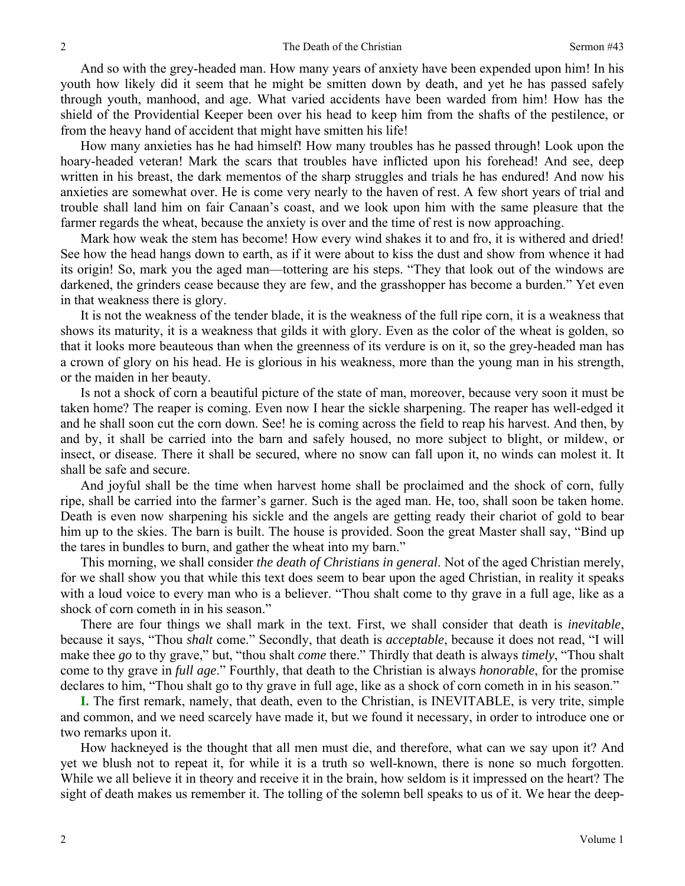And so with the grey-headed man. How many years of anxiety have been expended upon him! In his youth how likely did it seem that he might be smitten down by death, and yet he has passed safely through youth, manhood, and age. What varied accidents have been warded from him! How has the shield of the Providential Keeper been over his head to keep him from the shafts of the pestilence, or from the heavy hand of accident that might have smitten his life!

How many anxieties has he had himself! How many troubles has he passed through! Look upon the hoary-headed veteran! Mark the scars that troubles have inflicted upon his forehead! And see, deep written in his breast, the dark mementos of the sharp struggles and trials he has endured! And now his anxieties are somewhat over. He is come very nearly to the haven of rest. A few short years of trial and trouble shall land him on fair Canaan's coast, and we look upon him with the same pleasure that the farmer regards the wheat, because the anxiety is over and the time of rest is now approaching.

Mark how weak the stem has become! How every wind shakes it to and fro, it is withered and dried! See how the head hangs down to earth, as if it were about to kiss the dust and show from whence it had its origin! So, mark you the aged man—tottering are his steps. "They that look out of the windows are darkened, the grinders cease because they are few, and the grasshopper has become a burden." Yet even in that weakness there is glory.

It is not the weakness of the tender blade, it is the weakness of the full ripe corn, it is a weakness that shows its maturity, it is a weakness that gilds it with glory. Even as the color of the wheat is golden, so that it looks more beauteous than when the greenness of its verdure is on it, so the grey-headed man has a crown of glory on his head. He is glorious in his weakness, more than the young man in his strength, or the maiden in her beauty.

Is not a shock of corn a beautiful picture of the state of man, moreover, because very soon it must be taken home? The reaper is coming. Even now I hear the sickle sharpening. The reaper has well-edged it and he shall soon cut the corn down. See! he is coming across the field to reap his harvest. And then, by and by, it shall be carried into the barn and safely housed, no more subject to blight, or mildew, or insect, or disease. There it shall be secured, where no snow can fall upon it, no winds can molest it. It shall be safe and secure.

And joyful shall be the time when harvest home shall be proclaimed and the shock of corn, fully ripe, shall be carried into the farmer's garner. Such is the aged man. He, too, shall soon be taken home. Death is even now sharpening his sickle and the angels are getting ready their chariot of gold to bear him up to the skies. The barn is built. The house is provided. Soon the great Master shall say, "Bind up the tares in bundles to burn, and gather the wheat into my barn."

This morning, we shall consider *the death of Christians in general*. Not of the aged Christian merely, for we shall show you that while this text does seem to bear upon the aged Christian, in reality it speaks with a loud voice to every man who is a believer. "Thou shalt come to thy grave in a full age, like as a shock of corn cometh in in his season."

There are four things we shall mark in the text. First, we shall consider that death is *inevitable*, because it says, "Thou *shalt* come." Secondly, that death is *acceptable*, because it does not read, "I will make thee *go* to thy grave," but, "thou shalt *come* there." Thirdly that death is always *timely*, "Thou shalt come to thy grave in *full age*." Fourthly, that death to the Christian is always *honorable*, for the promise declares to him, "Thou shalt go to thy grave in full age, like as a shock of corn cometh in in his season."

**I.** The first remark, namely, that death, even to the Christian, is INEVITABLE, is very trite, simple and common, and we need scarcely have made it, but we found it necessary, in order to introduce one or two remarks upon it.

How hackneyed is the thought that all men must die, and therefore, what can we say upon it? And yet we blush not to repeat it, for while it is a truth so well-known, there is none so much forgotten. While we all believe it in theory and receive it in the brain, how seldom is it impressed on the heart? The sight of death makes us remember it. The tolling of the solemn bell speaks to us of it. We hear the deep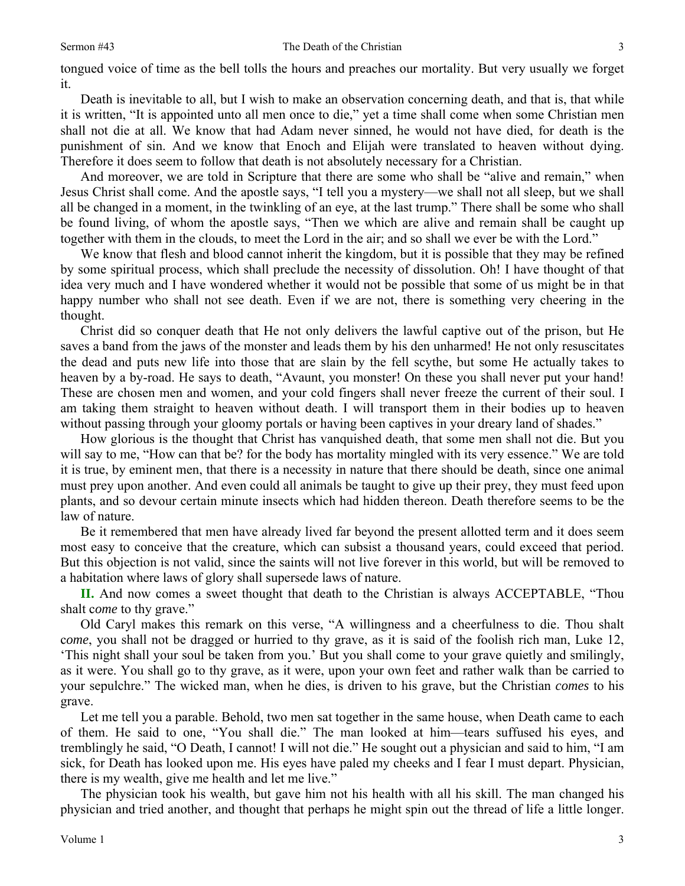tongued voice of time as the bell tolls the hours and preaches our mortality. But very usually we forget it.

Death is inevitable to all, but I wish to make an observation concerning death, and that is, that while it is written, "It is appointed unto all men once to die," yet a time shall come when some Christian men shall not die at all. We know that had Adam never sinned, he would not have died, for death is the punishment of sin. And we know that Enoch and Elijah were translated to heaven without dying. Therefore it does seem to follow that death is not absolutely necessary for a Christian.

And moreover, we are told in Scripture that there are some who shall be "alive and remain," when Jesus Christ shall come. And the apostle says, "I tell you a mystery—we shall not all sleep, but we shall all be changed in a moment, in the twinkling of an eye, at the last trump." There shall be some who shall be found living, of whom the apostle says, "Then we which are alive and remain shall be caught up together with them in the clouds, to meet the Lord in the air; and so shall we ever be with the Lord."

We know that flesh and blood cannot inherit the kingdom, but it is possible that they may be refined by some spiritual process, which shall preclude the necessity of dissolution. Oh! I have thought of that idea very much and I have wondered whether it would not be possible that some of us might be in that happy number who shall not see death. Even if we are not, there is something very cheering in the thought.

Christ did so conquer death that He not only delivers the lawful captive out of the prison, but He saves a band from the jaws of the monster and leads them by his den unharmed! He not only resuscitates the dead and puts new life into those that are slain by the fell scythe, but some He actually takes to heaven by a by-road. He says to death, "Avaunt, you monster! On these you shall never put your hand! These are chosen men and women, and your cold fingers shall never freeze the current of their soul. I am taking them straight to heaven without death. I will transport them in their bodies up to heaven without passing through your gloomy portals or having been captives in your dreary land of shades."

How glorious is the thought that Christ has vanquished death, that some men shall not die. But you will say to me, "How can that be? for the body has mortality mingled with its very essence." We are told it is true, by eminent men, that there is a necessity in nature that there should be death, since one animal must prey upon another. And even could all animals be taught to give up their prey, they must feed upon plants, and so devour certain minute insects which had hidden thereon. Death therefore seems to be the law of nature.

Be it remembered that men have already lived far beyond the present allotted term and it does seem most easy to conceive that the creature, which can subsist a thousand years, could exceed that period. But this objection is not valid, since the saints will not live forever in this world, but will be removed to a habitation where laws of glory shall supersede laws of nature.

**II.** And now comes a sweet thought that death to the Christian is always ACCEPTABLE, "Thou shalt come to thy grave."

Old Caryl makes this remark on this verse, "A willingness and a cheerfulness to die. Thou shalt c*ome*, you shall not be dragged or hurried to thy grave, as it is said of the foolish rich man, Luke 12, 'This night shall your soul be taken from you.' But you shall come to your grave quietly and smilingly, as it were. You shall go to thy grave, as it were, upon your own feet and rather walk than be carried to your sepulchre." The wicked man, when he dies, is driven to his grave, but the Christian *comes* to his grave.

Let me tell you a parable. Behold, two men sat together in the same house, when Death came to each of them. He said to one, "You shall die." The man looked at him—tears suffused his eyes, and tremblingly he said, "O Death, I cannot! I will not die." He sought out a physician and said to him, "I am sick, for Death has looked upon me. His eyes have paled my cheeks and I fear I must depart. Physician, there is my wealth, give me health and let me live."

The physician took his wealth, but gave him not his health with all his skill. The man changed his physician and tried another, and thought that perhaps he might spin out the thread of life a little longer.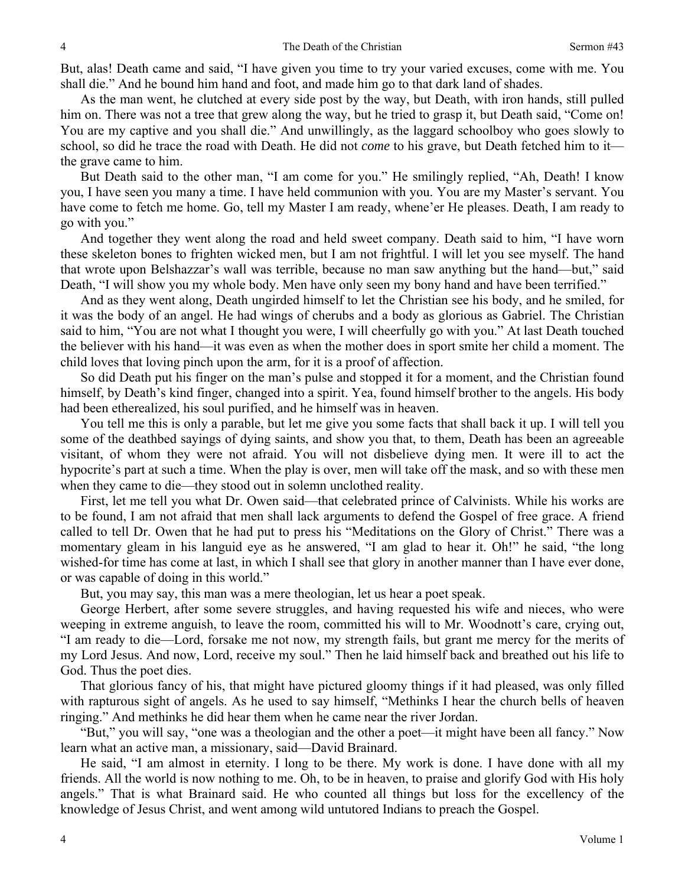But, alas! Death came and said, "I have given you time to try your varied excuses, come with me. You shall die." And he bound him hand and foot, and made him go to that dark land of shades.

As the man went, he clutched at every side post by the way, but Death, with iron hands, still pulled him on. There was not a tree that grew along the way, but he tried to grasp it, but Death said, "Come on! You are my captive and you shall die." And unwillingly, as the laggard schoolboy who goes slowly to school, so did he trace the road with Death. He did not *come* to his grave, but Death fetched him to it the grave came to him.

But Death said to the other man, "I am come for you." He smilingly replied, "Ah, Death! I know you, I have seen you many a time. I have held communion with you. You are my Master's servant. You have come to fetch me home. Go, tell my Master I am ready, whene'er He pleases. Death, I am ready to go with you."

And together they went along the road and held sweet company. Death said to him, "I have worn these skeleton bones to frighten wicked men, but I am not frightful. I will let you see myself. The hand that wrote upon Belshazzar's wall was terrible, because no man saw anything but the hand—but," said Death, "I will show you my whole body. Men have only seen my bony hand and have been terrified."

And as they went along, Death ungirded himself to let the Christian see his body, and he smiled, for it was the body of an angel. He had wings of cherubs and a body as glorious as Gabriel. The Christian said to him, "You are not what I thought you were, I will cheerfully go with you." At last Death touched the believer with his hand—it was even as when the mother does in sport smite her child a moment. The child loves that loving pinch upon the arm, for it is a proof of affection.

So did Death put his finger on the man's pulse and stopped it for a moment, and the Christian found himself, by Death's kind finger, changed into a spirit. Yea, found himself brother to the angels. His body had been etherealized, his soul purified, and he himself was in heaven.

You tell me this is only a parable, but let me give you some facts that shall back it up. I will tell you some of the deathbed sayings of dying saints, and show you that, to them, Death has been an agreeable visitant, of whom they were not afraid. You will not disbelieve dying men. It were ill to act the hypocrite's part at such a time. When the play is over, men will take off the mask, and so with these men when they came to die—they stood out in solemn unclothed reality.

First, let me tell you what Dr. Owen said—that celebrated prince of Calvinists. While his works are to be found, I am not afraid that men shall lack arguments to defend the Gospel of free grace. A friend called to tell Dr. Owen that he had put to press his "Meditations on the Glory of Christ." There was a momentary gleam in his languid eye as he answered, "I am glad to hear it. Oh!" he said, "the long wished-for time has come at last, in which I shall see that glory in another manner than I have ever done, or was capable of doing in this world."

But, you may say, this man was a mere theologian, let us hear a poet speak.

George Herbert, after some severe struggles, and having requested his wife and nieces, who were weeping in extreme anguish, to leave the room, committed his will to Mr. Woodnott's care, crying out, "I am ready to die—Lord, forsake me not now, my strength fails, but grant me mercy for the merits of my Lord Jesus. And now, Lord, receive my soul." Then he laid himself back and breathed out his life to God. Thus the poet dies.

That glorious fancy of his, that might have pictured gloomy things if it had pleased, was only filled with rapturous sight of angels. As he used to say himself, "Methinks I hear the church bells of heaven ringing." And methinks he did hear them when he came near the river Jordan.

"But," you will say, "one was a theologian and the other a poet—it might have been all fancy." Now learn what an active man, a missionary, said—David Brainard.

He said, "I am almost in eternity. I long to be there. My work is done. I have done with all my friends. All the world is now nothing to me. Oh, to be in heaven, to praise and glorify God with His holy angels." That is what Brainard said. He who counted all things but loss for the excellency of the knowledge of Jesus Christ, and went among wild untutored Indians to preach the Gospel.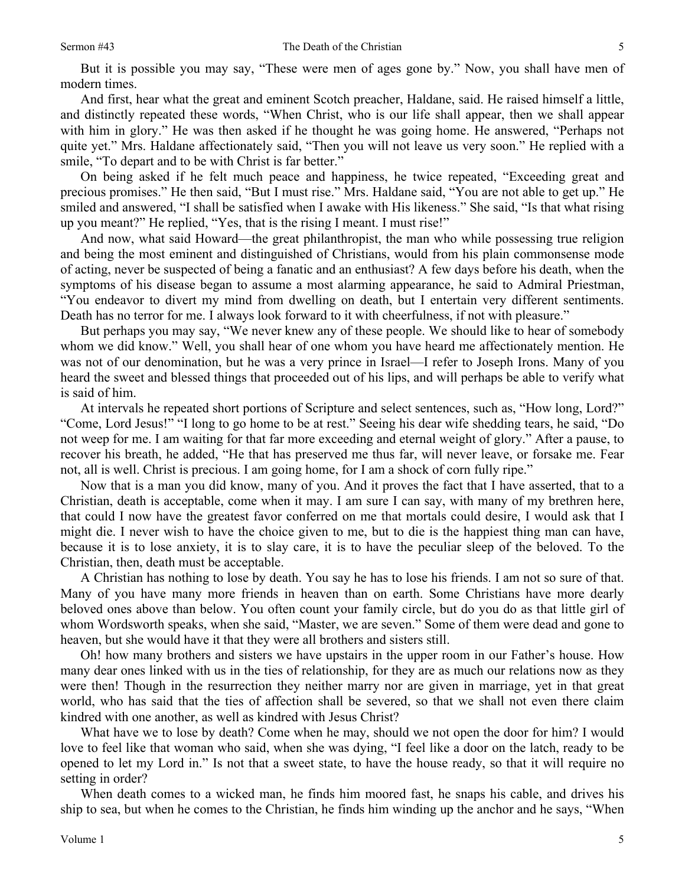But it is possible you may say, "These were men of ages gone by." Now, you shall have men of modern times.

And first, hear what the great and eminent Scotch preacher, Haldane, said. He raised himself a little, and distinctly repeated these words, "When Christ, who is our life shall appear, then we shall appear with him in glory." He was then asked if he thought he was going home. He answered, "Perhaps not quite yet." Mrs. Haldane affectionately said, "Then you will not leave us very soon." He replied with a smile, "To depart and to be with Christ is far better."

On being asked if he felt much peace and happiness, he twice repeated, "Exceeding great and precious promises." He then said, "But I must rise." Mrs. Haldane said, "You are not able to get up." He smiled and answered, "I shall be satisfied when I awake with His likeness." She said, "Is that what rising up you meant?" He replied, "Yes, that is the rising I meant. I must rise!"

And now, what said Howard—the great philanthropist, the man who while possessing true religion and being the most eminent and distinguished of Christians, would from his plain commonsense mode of acting, never be suspected of being a fanatic and an enthusiast? A few days before his death, when the symptoms of his disease began to assume a most alarming appearance, he said to Admiral Priestman, "You endeavor to divert my mind from dwelling on death, but I entertain very different sentiments. Death has no terror for me. I always look forward to it with cheerfulness, if not with pleasure."

But perhaps you may say, "We never knew any of these people. We should like to hear of somebody whom we did know." Well, you shall hear of one whom you have heard me affectionately mention. He was not of our denomination, but he was a very prince in Israel—I refer to Joseph Irons. Many of you heard the sweet and blessed things that proceeded out of his lips, and will perhaps be able to verify what is said of him.

At intervals he repeated short portions of Scripture and select sentences, such as, "How long, Lord?" "Come, Lord Jesus!" "I long to go home to be at rest." Seeing his dear wife shedding tears, he said, "Do not weep for me. I am waiting for that far more exceeding and eternal weight of glory." After a pause, to recover his breath, he added, "He that has preserved me thus far, will never leave, or forsake me. Fear not, all is well. Christ is precious. I am going home, for I am a shock of corn fully ripe."

Now that is a man you did know, many of you. And it proves the fact that I have asserted, that to a Christian, death is acceptable, come when it may. I am sure I can say, with many of my brethren here, that could I now have the greatest favor conferred on me that mortals could desire, I would ask that I might die. I never wish to have the choice given to me, but to die is the happiest thing man can have, because it is to lose anxiety, it is to slay care, it is to have the peculiar sleep of the beloved. To the Christian, then, death must be acceptable.

A Christian has nothing to lose by death. You say he has to lose his friends. I am not so sure of that. Many of you have many more friends in heaven than on earth. Some Christians have more dearly beloved ones above than below. You often count your family circle, but do you do as that little girl of whom Wordsworth speaks, when she said, "Master, we are seven." Some of them were dead and gone to heaven, but she would have it that they were all brothers and sisters still.

Oh! how many brothers and sisters we have upstairs in the upper room in our Father's house. How many dear ones linked with us in the ties of relationship, for they are as much our relations now as they were then! Though in the resurrection they neither marry nor are given in marriage, yet in that great world, who has said that the ties of affection shall be severed, so that we shall not even there claim kindred with one another, as well as kindred with Jesus Christ?

What have we to lose by death? Come when he may, should we not open the door for him? I would love to feel like that woman who said, when she was dying, "I feel like a door on the latch, ready to be opened to let my Lord in." Is not that a sweet state, to have the house ready, so that it will require no setting in order?

When death comes to a wicked man, he finds him moored fast, he snaps his cable, and drives his ship to sea, but when he comes to the Christian, he finds him winding up the anchor and he says, "When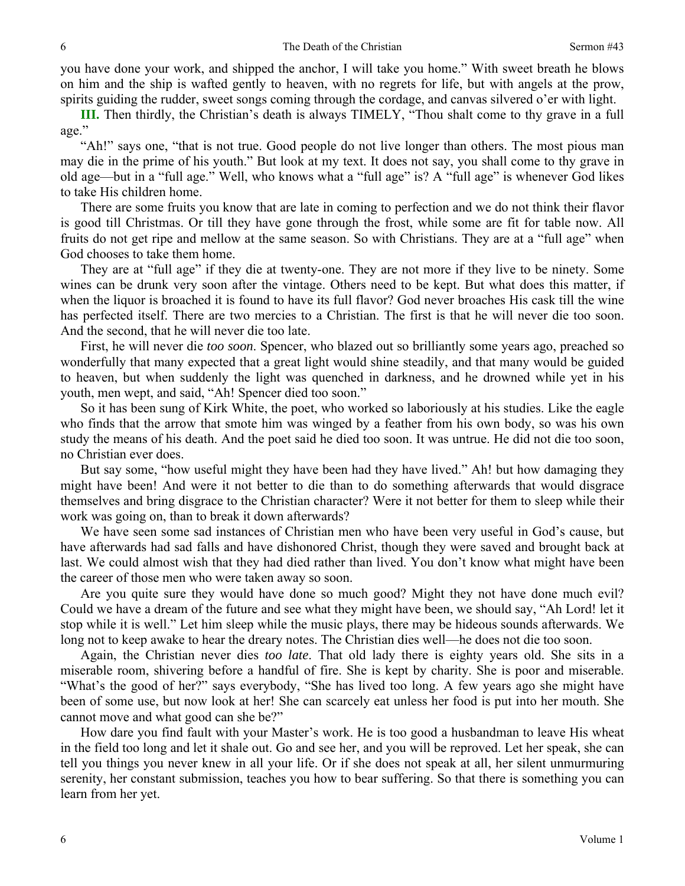you have done your work, and shipped the anchor, I will take you home." With sweet breath he blows on him and the ship is wafted gently to heaven, with no regrets for life, but with angels at the prow, spirits guiding the rudder, sweet songs coming through the cordage, and canvas silvered o'er with light.

**III.** Then thirdly, the Christian's death is always TIMELY, "Thou shalt come to thy grave in a full age."

"Ah!" says one, "that is not true. Good people do not live longer than others. The most pious man may die in the prime of his youth." But look at my text. It does not say, you shall come to thy grave in old age—but in a "full age." Well, who knows what a "full age" is? A "full age" is whenever God likes to take His children home.

There are some fruits you know that are late in coming to perfection and we do not think their flavor is good till Christmas. Or till they have gone through the frost, while some are fit for table now. All fruits do not get ripe and mellow at the same season. So with Christians. They are at a "full age" when God chooses to take them home.

They are at "full age" if they die at twenty-one. They are not more if they live to be ninety. Some wines can be drunk very soon after the vintage. Others need to be kept. But what does this matter, if when the liquor is broached it is found to have its full flavor? God never broaches His cask till the wine has perfected itself. There are two mercies to a Christian. The first is that he will never die too soon. And the second, that he will never die too late.

First, he will never die *too soon*. Spencer, who blazed out so brilliantly some years ago, preached so wonderfully that many expected that a great light would shine steadily, and that many would be guided to heaven, but when suddenly the light was quenched in darkness, and he drowned while yet in his youth, men wept, and said, "Ah! Spencer died too soon."

So it has been sung of Kirk White, the poet, who worked so laboriously at his studies. Like the eagle who finds that the arrow that smote him was winged by a feather from his own body, so was his own study the means of his death. And the poet said he died too soon. It was untrue. He did not die too soon, no Christian ever does.

But say some, "how useful might they have been had they have lived." Ah! but how damaging they might have been! And were it not better to die than to do something afterwards that would disgrace themselves and bring disgrace to the Christian character? Were it not better for them to sleep while their work was going on, than to break it down afterwards?

We have seen some sad instances of Christian men who have been very useful in God's cause, but have afterwards had sad falls and have dishonored Christ, though they were saved and brought back at last. We could almost wish that they had died rather than lived. You don't know what might have been the career of those men who were taken away so soon.

Are you quite sure they would have done so much good? Might they not have done much evil? Could we have a dream of the future and see what they might have been, we should say, "Ah Lord! let it stop while it is well." Let him sleep while the music plays, there may be hideous sounds afterwards. We long not to keep awake to hear the dreary notes. The Christian dies well—he does not die too soon.

Again, the Christian never dies *too late*. That old lady there is eighty years old. She sits in a miserable room, shivering before a handful of fire. She is kept by charity. She is poor and miserable. "What's the good of her?" says everybody, "She has lived too long. A few years ago she might have been of some use, but now look at her! She can scarcely eat unless her food is put into her mouth. She cannot move and what good can she be?"

How dare you find fault with your Master's work. He is too good a husbandman to leave His wheat in the field too long and let it shale out. Go and see her, and you will be reproved. Let her speak, she can tell you things you never knew in all your life. Or if she does not speak at all, her silent unmurmuring serenity, her constant submission, teaches you how to bear suffering. So that there is something you can learn from her yet.

6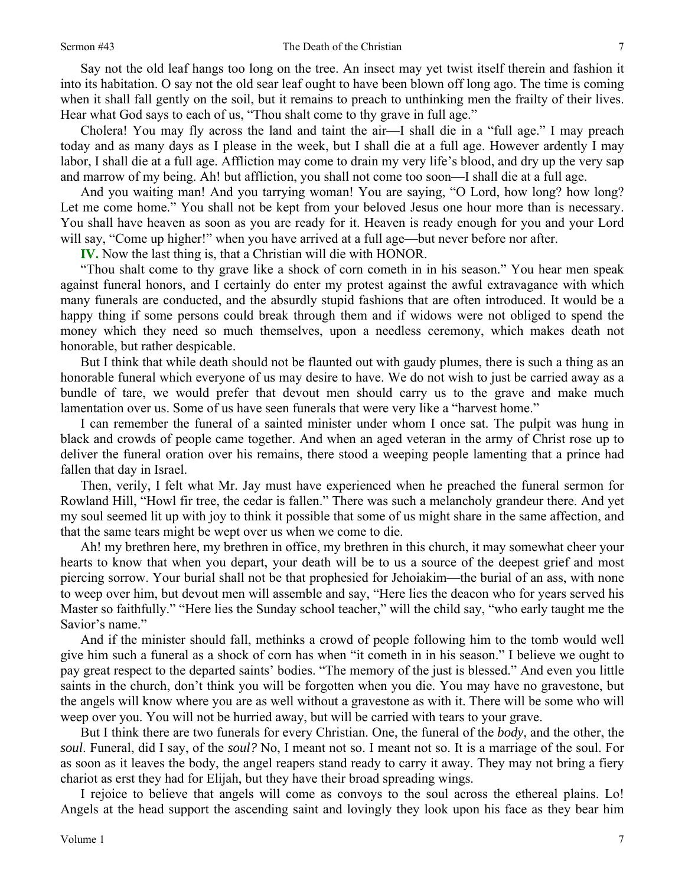Say not the old leaf hangs too long on the tree. An insect may yet twist itself therein and fashion it into its habitation. O say not the old sear leaf ought to have been blown off long ago. The time is coming when it shall fall gently on the soil, but it remains to preach to unthinking men the frailty of their lives. Hear what God says to each of us, "Thou shalt come to thy grave in full age."

Cholera! You may fly across the land and taint the air—I shall die in a "full age." I may preach today and as many days as I please in the week, but I shall die at a full age. However ardently I may labor, I shall die at a full age. Affliction may come to drain my very life's blood, and dry up the very sap and marrow of my being. Ah! but affliction, you shall not come too soon—I shall die at a full age.

And you waiting man! And you tarrying woman! You are saying, "O Lord, how long? how long? Let me come home." You shall not be kept from your beloved Jesus one hour more than is necessary. You shall have heaven as soon as you are ready for it. Heaven is ready enough for you and your Lord will say, "Come up higher!" when you have arrived at a full age—but never before nor after.

**IV.** Now the last thing is, that a Christian will die with HONOR.

"Thou shalt come to thy grave like a shock of corn cometh in in his season." You hear men speak against funeral honors, and I certainly do enter my protest against the awful extravagance with which many funerals are conducted, and the absurdly stupid fashions that are often introduced. It would be a happy thing if some persons could break through them and if widows were not obliged to spend the money which they need so much themselves, upon a needless ceremony, which makes death not honorable, but rather despicable.

But I think that while death should not be flaunted out with gaudy plumes, there is such a thing as an honorable funeral which everyone of us may desire to have. We do not wish to just be carried away as a bundle of tare, we would prefer that devout men should carry us to the grave and make much lamentation over us. Some of us have seen funerals that were very like a "harvest home."

I can remember the funeral of a sainted minister under whom I once sat. The pulpit was hung in black and crowds of people came together. And when an aged veteran in the army of Christ rose up to deliver the funeral oration over his remains, there stood a weeping people lamenting that a prince had fallen that day in Israel.

Then, verily, I felt what Mr. Jay must have experienced when he preached the funeral sermon for Rowland Hill, "Howl fir tree, the cedar is fallen." There was such a melancholy grandeur there. And yet my soul seemed lit up with joy to think it possible that some of us might share in the same affection, and that the same tears might be wept over us when we come to die.

Ah! my brethren here, my brethren in office, my brethren in this church, it may somewhat cheer your hearts to know that when you depart, your death will be to us a source of the deepest grief and most piercing sorrow. Your burial shall not be that prophesied for Jehoiakim—the burial of an ass, with none to weep over him, but devout men will assemble and say, "Here lies the deacon who for years served his Master so faithfully." "Here lies the Sunday school teacher," will the child say, "who early taught me the Savior's name."

And if the minister should fall, methinks a crowd of people following him to the tomb would well give him such a funeral as a shock of corn has when "it cometh in in his season." I believe we ought to pay great respect to the departed saints' bodies. "The memory of the just is blessed." And even you little saints in the church, don't think you will be forgotten when you die. You may have no gravestone, but the angels will know where you are as well without a gravestone as with it. There will be some who will weep over you. You will not be hurried away, but will be carried with tears to your grave.

But I think there are two funerals for every Christian. One, the funeral of the *body*, and the other, the *soul*. Funeral, did I say, of the *soul?* No, I meant not so. I meant not so. It is a marriage of the soul. For as soon as it leaves the body, the angel reapers stand ready to carry it away. They may not bring a fiery chariot as erst they had for Elijah, but they have their broad spreading wings.

I rejoice to believe that angels will come as convoys to the soul across the ethereal plains. Lo! Angels at the head support the ascending saint and lovingly they look upon his face as they bear him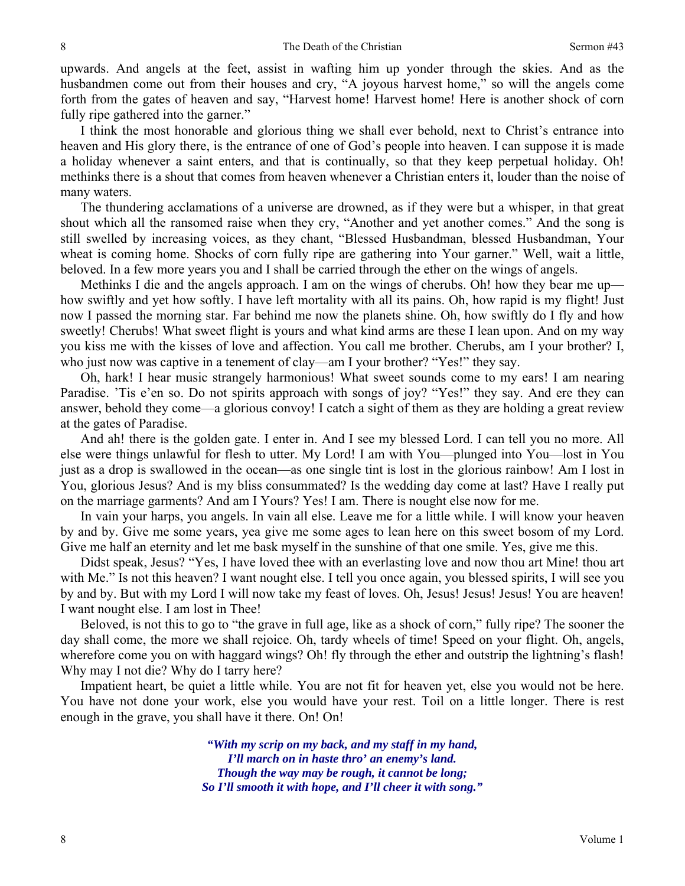upwards. And angels at the feet, assist in wafting him up yonder through the skies. And as the husbandmen come out from their houses and cry, "A joyous harvest home," so will the angels come forth from the gates of heaven and say, "Harvest home! Harvest home! Here is another shock of corn fully ripe gathered into the garner."

I think the most honorable and glorious thing we shall ever behold, next to Christ's entrance into heaven and His glory there, is the entrance of one of God's people into heaven. I can suppose it is made a holiday whenever a saint enters, and that is continually, so that they keep perpetual holiday. Oh! methinks there is a shout that comes from heaven whenever a Christian enters it, louder than the noise of many waters.

The thundering acclamations of a universe are drowned, as if they were but a whisper, in that great shout which all the ransomed raise when they cry, "Another and yet another comes." And the song is still swelled by increasing voices, as they chant, "Blessed Husbandman, blessed Husbandman, Your wheat is coming home. Shocks of corn fully ripe are gathering into Your garner." Well, wait a little, beloved. In a few more years you and I shall be carried through the ether on the wings of angels.

Methinks I die and the angels approach. I am on the wings of cherubs. Oh! how they bear me up how swiftly and yet how softly. I have left mortality with all its pains. Oh, how rapid is my flight! Just now I passed the morning star. Far behind me now the planets shine. Oh, how swiftly do I fly and how sweetly! Cherubs! What sweet flight is yours and what kind arms are these I lean upon. And on my way you kiss me with the kisses of love and affection. You call me brother. Cherubs, am I your brother? I, who just now was captive in a tenement of clay—am I your brother? "Yes!" they say.

Oh, hark! I hear music strangely harmonious! What sweet sounds come to my ears! I am nearing Paradise. 'Tis e'en so. Do not spirits approach with songs of joy? "Yes!" they say. And ere they can answer, behold they come—a glorious convoy! I catch a sight of them as they are holding a great review at the gates of Paradise.

And ah! there is the golden gate. I enter in. And I see my blessed Lord. I can tell you no more. All else were things unlawful for flesh to utter. My Lord! I am with You—plunged into You—lost in You just as a drop is swallowed in the ocean—as one single tint is lost in the glorious rainbow! Am I lost in You, glorious Jesus? And is my bliss consummated? Is the wedding day come at last? Have I really put on the marriage garments? And am I Yours? Yes! I am. There is nought else now for me.

In vain your harps, you angels. In vain all else. Leave me for a little while. I will know your heaven by and by. Give me some years, yea give me some ages to lean here on this sweet bosom of my Lord. Give me half an eternity and let me bask myself in the sunshine of that one smile. Yes, give me this.

Didst speak, Jesus? "Yes, I have loved thee with an everlasting love and now thou art Mine! thou art with Me." Is not this heaven? I want nought else. I tell you once again, you blessed spirits, I will see you by and by. But with my Lord I will now take my feast of loves. Oh, Jesus! Jesus! Jesus! You are heaven! I want nought else. I am lost in Thee!

Beloved, is not this to go to "the grave in full age, like as a shock of corn," fully ripe? The sooner the day shall come, the more we shall rejoice. Oh, tardy wheels of time! Speed on your flight. Oh, angels, wherefore come you on with haggard wings? Oh! fly through the ether and outstrip the lightning's flash! Why may I not die? Why do I tarry here?

Impatient heart, be quiet a little while. You are not fit for heaven yet, else you would not be here. You have not done your work, else you would have your rest. Toil on a little longer. There is rest enough in the grave, you shall have it there. On! On!

> *"With my scrip on my back, and my staff in my hand, I'll march on in haste thro' an enemy's land. Though the way may be rough, it cannot be long; So I'll smooth it with hope, and I'll cheer it with song."*